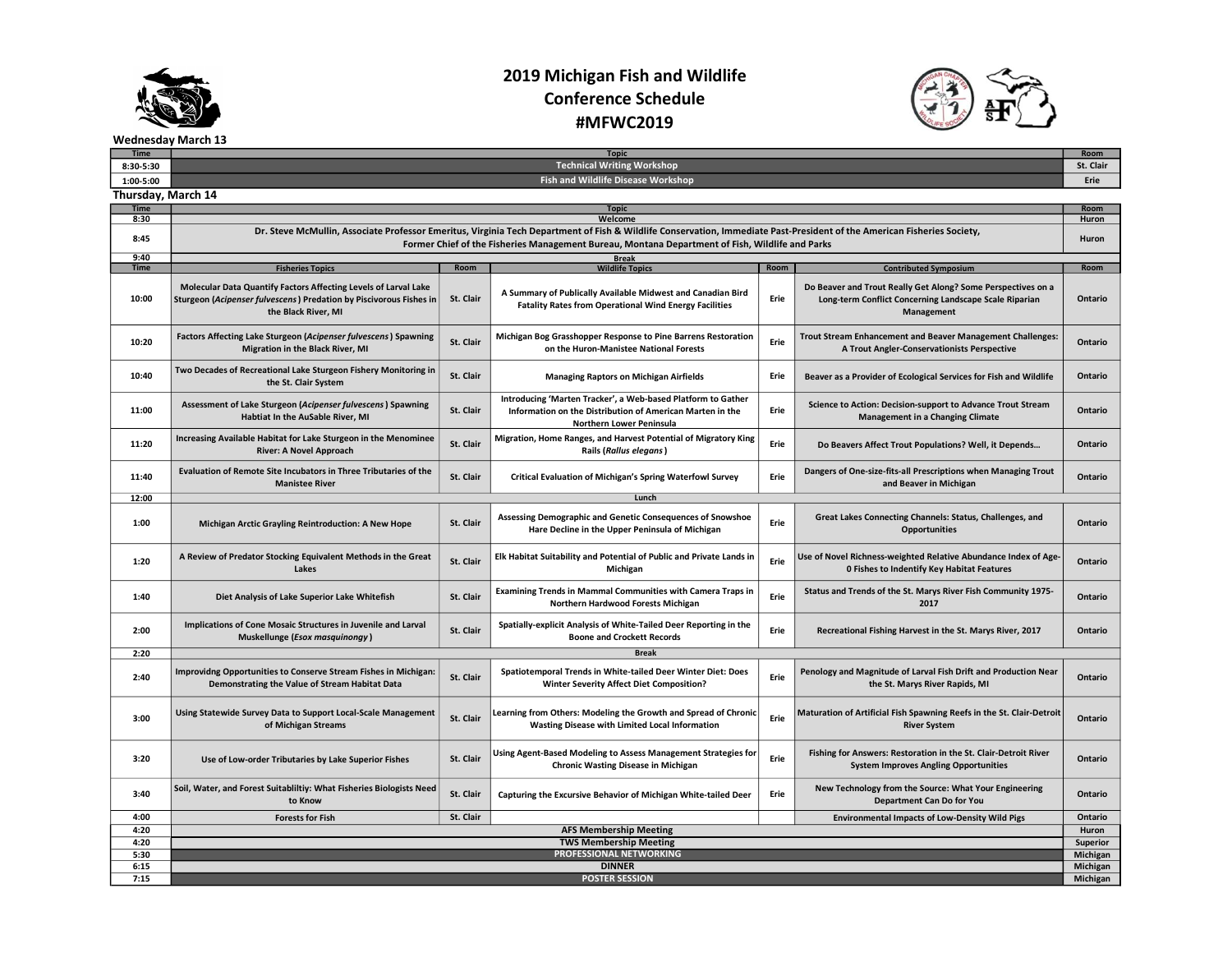

## 2019 Michigan Fish and Wildlife Conference Schedule #MFWC2019



Wednesday March 13

| 1:00-5:00          | Fish and Wildlife Disease Workshop                                                                                                                                                                                                                                         |              |                                                                                                                                                       |      |                                                                                                                                      |         |  |  |  |  |
|--------------------|----------------------------------------------------------------------------------------------------------------------------------------------------------------------------------------------------------------------------------------------------------------------------|--------------|-------------------------------------------------------------------------------------------------------------------------------------------------------|------|--------------------------------------------------------------------------------------------------------------------------------------|---------|--|--|--|--|
| Thursday, March 14 |                                                                                                                                                                                                                                                                            |              |                                                                                                                                                       |      |                                                                                                                                      |         |  |  |  |  |
| <b>Time</b>        | <b>Topic</b>                                                                                                                                                                                                                                                               |              |                                                                                                                                                       |      |                                                                                                                                      |         |  |  |  |  |
| 8:30               | Welcome                                                                                                                                                                                                                                                                    |              |                                                                                                                                                       |      |                                                                                                                                      |         |  |  |  |  |
| 8:45               | Dr. Steve McMullin, Associate Professor Emeritus, Virginia Tech Department of Fish & Wildlife Conservation, Immediate Past-President of the American Fisheries Society,<br>Former Chief of the Fisheries Management Bureau, Montana Department of Fish, Wildlife and Parks |              |                                                                                                                                                       |      |                                                                                                                                      |         |  |  |  |  |
| 9:40               |                                                                                                                                                                                                                                                                            |              | <b>Break</b>                                                                                                                                          |      |                                                                                                                                      |         |  |  |  |  |
| <b>Time</b>        | <b>Fisheries Topics</b>                                                                                                                                                                                                                                                    | Room         | <b>Wildlife Topics</b>                                                                                                                                | Room | <b>Contributed Symposium</b>                                                                                                         | Room    |  |  |  |  |
| 10:00              | Molecular Data Quantify Factors Affecting Levels of Larval Lake<br>Sturgeon (Acipenser fulvescens) Predation by Piscivorous Fishes in<br>the Black River, MI                                                                                                               | St. Clair    | A Summary of Publically Available Midwest and Canadian Bird<br><b>Fatality Rates from Operational Wind Energy Facilities</b>                          | Erie | Do Beaver and Trout Really Get Along? Some Perspectives on a<br>Long-term Conflict Concerning Landscape Scale Riparian<br>Management | Ontario |  |  |  |  |
| 10:20              | Factors Affecting Lake Sturgeon (Acipenser fulvescens) Spawning<br>Migration in the Black River, MI                                                                                                                                                                        | St. Clair    | Michigan Bog Grasshopper Response to Pine Barrens Restoration<br>on the Huron-Manistee National Forests                                               | Erie | Trout Stream Enhancement and Beaver Management Challenges:<br>A Trout Angler-Conservationists Perspective                            | Ontario |  |  |  |  |
| 10:40              | Two Decades of Recreational Lake Sturgeon Fishery Monitoring in<br>the St. Clair System                                                                                                                                                                                    | St. Clair    | <b>Managing Raptors on Michigan Airfields</b>                                                                                                         | Erie | Beaver as a Provider of Ecological Services for Fish and Wildlife                                                                    | Ontario |  |  |  |  |
| 11:00              | Assessment of Lake Sturgeon (Acipenser fulvescens) Spawning<br>Habtiat In the AuSable River, MI                                                                                                                                                                            | St. Clair    | Introducing 'Marten Tracker', a Web-based Platform to Gather<br>Information on the Distribution of American Marten in the<br>Northern Lower Peninsula | Erie | Science to Action: Decision-support to Advance Trout Stream<br><b>Management in a Changing Climate</b>                               | Ontario |  |  |  |  |
| 11:20              | Increasing Available Habitat for Lake Sturgeon in the Menominee<br><b>River: A Novel Approach</b>                                                                                                                                                                          | St. Clair    | Migration, Home Ranges, and Harvest Potential of Migratory King<br>Rails (Rallus elegans)                                                             | Erie | Do Beavers Affect Trout Populations? Well, it Depends                                                                                | Ontario |  |  |  |  |
| 11:40              | Evaluation of Remote Site Incubators in Three Tributaries of the<br><b>Manistee River</b>                                                                                                                                                                                  | St. Clair    | Critical Evaluation of Michigan's Spring Waterfowl Survey                                                                                             | Erie | Dangers of One-size-fits-all Prescriptions when Managing Trout<br>and Beaver in Michigan                                             | Ontario |  |  |  |  |
| 12:00              | Lunch                                                                                                                                                                                                                                                                      |              |                                                                                                                                                       |      |                                                                                                                                      |         |  |  |  |  |
| 1:00               | Michigan Arctic Grayling Reintroduction: A New Hope                                                                                                                                                                                                                        | St. Clair    | Assessing Demographic and Genetic Consequences of Snowshoe<br>Hare Decline in the Upper Peninsula of Michigan                                         | Erie | Great Lakes Connecting Channels: Status, Challenges, and<br><b>Opportunities</b>                                                     | Ontario |  |  |  |  |
| 1:20               | A Review of Predator Stocking Equivalent Methods in the Great<br>Lakes                                                                                                                                                                                                     | St. Clair    | Elk Habitat Suitability and Potential of Public and Private Lands in<br>Michigan                                                                      | Erie | Use of Novel Richness-weighted Relative Abundance Index of Age-<br><b>0 Fishes to Indentify Key Habitat Features</b>                 | Ontario |  |  |  |  |
| 1:40               | Diet Analysis of Lake Superior Lake Whitefish                                                                                                                                                                                                                              | St. Clair    | Examining Trends in Mammal Communities with Camera Traps in<br>Northern Hardwood Forests Michigan                                                     | Erie | Status and Trends of the St. Marys River Fish Community 1975-<br>2017                                                                | Ontario |  |  |  |  |
| 2:00               | Implications of Cone Mosaic Structures in Juvenile and Larval<br>Muskellunge (Esox masquinongy)                                                                                                                                                                            | St. Clair    | Spatially-explicit Analysis of White-Tailed Deer Reporting in the<br><b>Boone and Crockett Records</b>                                                | Erie | Recreational Fishing Harvest in the St. Marys River, 2017                                                                            | Ontario |  |  |  |  |
| 2:20               |                                                                                                                                                                                                                                                                            | <b>Break</b> |                                                                                                                                                       |      |                                                                                                                                      |         |  |  |  |  |
| 2:40               | <b>Improvidng Opportunities to Conserve Stream Fishes in Michigan:</b><br>Demonstrating the Value of Stream Habitat Data                                                                                                                                                   | St. Clair    | Spatiotemporal Trends in White-tailed Deer Winter Diet: Does<br><b>Winter Severity Affect Diet Composition?</b>                                       | Erie | Penology and Magnitude of Larval Fish Drift and Production Near<br>the St. Marys River Rapids, MI                                    | Ontario |  |  |  |  |
| 3:00               | Using Statewide Survey Data to Support Local-Scale Management<br>of Michigan Streams                                                                                                                                                                                       | St. Clair    | Learning from Others: Modeling the Growth and Spread of Chronic<br>Wasting Disease with Limited Local Information                                     | Erie | Maturation of Artificial Fish Spawning Reefs in the St. Clair-Detroit<br><b>River System</b>                                         | Ontario |  |  |  |  |
| 3:20               | Use of Low-order Tributaries by Lake Superior Fishes                                                                                                                                                                                                                       | St. Clair    | Using Agent-Based Modeling to Assess Management Strategies for<br><b>Chronic Wasting Disease in Michigan</b>                                          | Erie | Fishing for Answers: Restoration in the St. Clair-Detroit River<br><b>System Improves Angling Opportunities</b>                      | Ontario |  |  |  |  |
| 3:40               | Soil, Water, and Forest Suitabliltiy: What Fisheries Biologists Need<br>to Know                                                                                                                                                                                            | St. Clair    | Capturing the Excursive Behavior of Michigan White-tailed Deer                                                                                        | Erie | New Technology from the Source: What Your Engineering<br>Department Can Do for You                                                   | Ontario |  |  |  |  |
| 4:00               | <b>Forests for Fish</b>                                                                                                                                                                                                                                                    | St. Clair    |                                                                                                                                                       |      | <b>Environmental Impacts of Low-Density Wild Pigs</b>                                                                                | Ontario |  |  |  |  |
| 4:20               | <b>AFS Membership Meeting</b>                                                                                                                                                                                                                                              |              |                                                                                                                                                       |      |                                                                                                                                      |         |  |  |  |  |
| 4:20               | <b>TWS Membership Meeting</b>                                                                                                                                                                                                                                              |              |                                                                                                                                                       |      |                                                                                                                                      |         |  |  |  |  |
| 5:30               | <b>PROFESSIONAL NETWORKING</b>                                                                                                                                                                                                                                             |              |                                                                                                                                                       |      |                                                                                                                                      |         |  |  |  |  |
| 6:15               | <b>DINNER</b>                                                                                                                                                                                                                                                              |              |                                                                                                                                                       |      |                                                                                                                                      |         |  |  |  |  |
| 7:15               | <b>POSTER SESSION</b>                                                                                                                                                                                                                                                      |              |                                                                                                                                                       |      |                                                                                                                                      |         |  |  |  |  |

Time Topic Topic The Topic The Topic The Topic The Topic St. Clair (Separate Design of Technical Writing Workshop<br>In the St. Clair St. Clair Clair (St. Clair St. Clair St. Clair St. Clair St. Clair St. Clair St. Clair St.